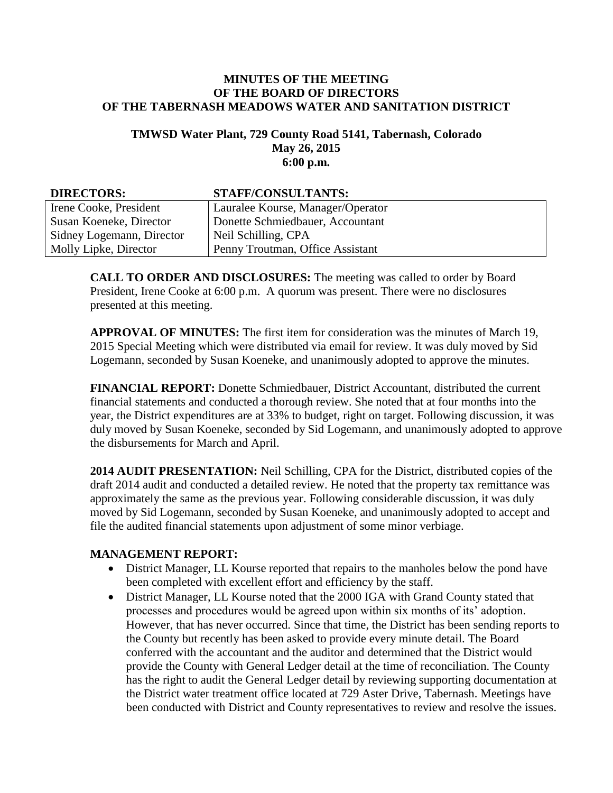### **MINUTES OF THE MEETING OF THE BOARD OF DIRECTORS OF THE TABERNASH MEADOWS WATER AND SANITATION DISTRICT**

### **TMWSD Water Plant, 729 County Road 5141, Tabernash, Colorado May 26, 2015 6:00 p.m.**

#### **DIRECTORS: STAFF/CONSULTANTS:** Irene Cooke, President Susan Koeneke, Director Sidney Logemann, Director Molly Lipke, Director Lauralee Kourse, Manager/Operator Donette Schmiedbauer, Accountant Neil Schilling, CPA Penny Troutman, Office Assistant

**CALL TO ORDER AND DISCLOSURES:** The meeting was called to order by Board President, Irene Cooke at 6:00 p.m. A quorum was present. There were no disclosures presented at this meeting.

**APPROVAL OF MINUTES:** The first item for consideration was the minutes of March 19, 2015 Special Meeting which were distributed via email for review. It was duly moved by Sid Logemann, seconded by Susan Koeneke, and unanimously adopted to approve the minutes.

**FINANCIAL REPORT:** Donette Schmiedbauer, District Accountant, distributed the current financial statements and conducted a thorough review. She noted that at four months into the year, the District expenditures are at 33% to budget, right on target. Following discussion, it was duly moved by Susan Koeneke, seconded by Sid Logemann, and unanimously adopted to approve the disbursements for March and April.

**2014 AUDIT PRESENTATION:** Neil Schilling, CPA for the District, distributed copies of the draft 2014 audit and conducted a detailed review. He noted that the property tax remittance was approximately the same as the previous year. Following considerable discussion, it was duly moved by Sid Logemann, seconded by Susan Koeneke, and unanimously adopted to accept and file the audited financial statements upon adjustment of some minor verbiage.

# **MANAGEMENT REPORT:**

- District Manager, LL Kourse reported that repairs to the manholes below the pond have been completed with excellent effort and efficiency by the staff.
- District Manager, LL Kourse noted that the 2000 IGA with Grand County stated that processes and procedures would be agreed upon within six months of its' adoption. However, that has never occurred. Since that time, the District has been sending reports to the County but recently has been asked to provide every minute detail. The Board conferred with the accountant and the auditor and determined that the District would provide the County with General Ledger detail at the time of reconciliation. The County has the right to audit the General Ledger detail by reviewing supporting documentation at the District water treatment office located at 729 Aster Drive, Tabernash. Meetings have been conducted with District and County representatives to review and resolve the issues.